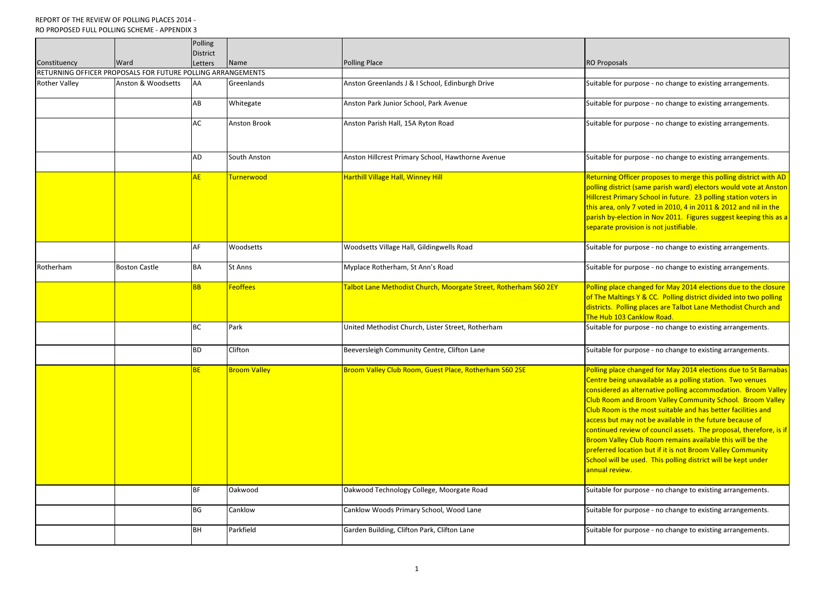## REPORT OF THE REVIEW OF POLLING PLACES 2014 - RO PROPOSED FULL POLLING SCHEME - APPENDIX 3

|                      |                                                             | Polling                |                                |                                                                                                     |                                                                                                                                                                                                                                     |
|----------------------|-------------------------------------------------------------|------------------------|--------------------------------|-----------------------------------------------------------------------------------------------------|-------------------------------------------------------------------------------------------------------------------------------------------------------------------------------------------------------------------------------------|
|                      |                                                             | <b>District</b>        |                                |                                                                                                     |                                                                                                                                                                                                                                     |
| Constituency         | Ward                                                        | Letters                | Name                           | <b>Polling Place</b>                                                                                | <b>RO Proposals</b>                                                                                                                                                                                                                 |
|                      | RETURNING OFFICER PROPOSALS FOR FUTURE POLLING ARRANGEMENTS |                        |                                |                                                                                                     |                                                                                                                                                                                                                                     |
| <b>Rother Valley</b> | <b>Anston &amp; Woodsetts</b>                               | AA                     | Greenlands                     | Anston Greenlands J & I School, Edinburgh Drive                                                     | Suitable for pu                                                                                                                                                                                                                     |
|                      |                                                             | AB                     | Whitegate                      | Anston Park Junior School, Park Avenue                                                              | Suitable for pu                                                                                                                                                                                                                     |
|                      |                                                             | AC                     | <b>Anston Brook</b>            | Anston Parish Hall, 15A Ryton Road                                                                  | Suitable for pu                                                                                                                                                                                                                     |
|                      |                                                             | AD                     | South Anston                   | Anston Hillcrest Primary School, Hawthorne Avenue                                                   | Suitable for pu                                                                                                                                                                                                                     |
|                      |                                                             | <b>AE</b>              | Turnerwood                     | <b>Harthill Village Hall, Winney Hill</b>                                                           | <b>Returning Offi</b><br>polling district<br><b>Hillcrest Prima</b><br>this area, only<br>parish by-elect<br>separate provi                                                                                                         |
|                      |                                                             | AF                     | Woodsetts                      | Woodsetts Village Hall, Gildingwells Road                                                           | Suitable for pu                                                                                                                                                                                                                     |
| Rotherham            | <b>Boston Castle</b>                                        | <b>BA</b>              | <b>St Anns</b>                 | Myplace Rotherham, St Ann's Road                                                                    | Suitable for pu                                                                                                                                                                                                                     |
|                      |                                                             | <b>BB</b>              | <b>Feoffees</b>                | Talbot Lane Methodist Church, Moorgate Street, Rotherham S60 2EY                                    | Polling place cl<br>of The Malting<br>districts. Pollin<br>The Hub 103 C                                                                                                                                                            |
|                      |                                                             | <b>BC</b>              | Park                           | United Methodist Church, Lister Street, Rotherham                                                   | Suitable for pu                                                                                                                                                                                                                     |
|                      |                                                             | <b>BD</b>              | <b>IClifton</b>                | Beeversleigh Community Centre, Clifton Lane                                                         | Suitable for pu                                                                                                                                                                                                                     |
|                      |                                                             | <b>BE</b><br><b>BF</b> | <b>Broom Valley</b><br>Oakwood | Broom Valley Club Room, Guest Place, Rotherham S60 2SE<br>Oakwood Technology College, Moorgate Road | Polling place cl<br>Centre being u<br>considered as<br>Club Room and<br><b>Club Room is t</b><br>access but may<br>continued revi<br><b>Broom Valley (</b><br>preferred loca<br>School will be<br>annual review.<br>Suitable for pu |
|                      |                                                             | <b>BG</b>              | Canklow                        | Canklow Woods Primary School, Wood Lane                                                             | Suitable for pu                                                                                                                                                                                                                     |
|                      |                                                             | <b>BH</b>              | Parkfield                      | Garden Building, Clifton Park, Clifton Lane                                                         | Suitable for pu                                                                                                                                                                                                                     |

Irpose - no change to existing arrangements.

Integated Anston Parage Anston Parangements.

In the set of change to existing arrangements.

Aud South Anston Anston Primary School, Hawaine Suitable for the Suitable for purpose - no change to existing a

cer proposes to merge this polling district with AD **gian district (same parish ward) electors would vote at Anston** Iry School in future. 23 polling station voters in 7 voted in 2010, 4 in 2011 & 2012 and nil in the tion in Nov 2011. Figures suggest keeping this as a ision is not justifiable.

arpose - no change to existing arrangements.

Irpose - no change to existing arrangements.

hanged for May 2014 elections due to the closure 5 Y & CC. Polling district divided into two polling ng places are Talbot Lane Methodist Church and Canklow Road.

BC Parage is churched Methods Church, Lister Street, Rothernan Suitable for purpose - no change to existing arrangements.

Irpose - no change to existing arrangements.

hanged for May 2014 elections due to St Barnabas Inavailable as a polling station. Two venues alternative polling accommodation. Broom Valley d Broom Valley Community School. Broom Valley  $\epsilon$ he most suitable and has better facilities and  $\epsilon$ y not be available in the future because of iew of council assets. The proposal, therefore, is if Club Room remains available this will be the tion but if it is not Broom Valley Community used. This polling district will be kept under

Irpose - no change to existing arrangements.

I ago Canage to existing arrang aments.

I Paragen Building and Building Suppose - no change is also in purpose - no change to existing arrangements.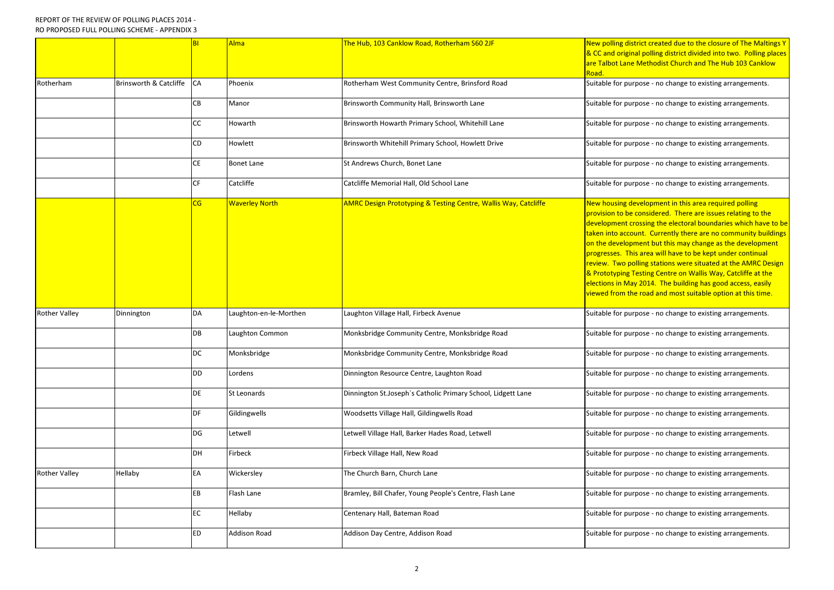|                      |                                   | B <sub>1</sub> | <b>Alma</b>            | The Hub, 103 Canklow Road, Rotherham S60 2JF                               | New polling di<br><b>&amp; CC and origi</b><br>are Talbot Lan<br>Road.                                                                                                                |
|----------------------|-----------------------------------|----------------|------------------------|----------------------------------------------------------------------------|---------------------------------------------------------------------------------------------------------------------------------------------------------------------------------------|
| Rotherham            | <b>Brinsworth &amp; Catcliffe</b> | <b>CA</b>      | Phoenix                | Rotherham West Community Centre, Brinsford Road                            | Suitable for pu                                                                                                                                                                       |
|                      |                                   | CB             | Manor                  | Brinsworth Community Hall, Brinsworth Lane                                 | Suitable for pu                                                                                                                                                                       |
|                      |                                   | CC             | Howarth                | Brinsworth Howarth Primary School, Whitehill Lane                          | Suitable for pu                                                                                                                                                                       |
|                      |                                   | CD             | Howlett                | Brinsworth Whitehill Primary School, Howlett Drive                         | Suitable for pu                                                                                                                                                                       |
|                      |                                   | <b>CE</b>      | <b>Bonet Lane</b>      | St Andrews Church, Bonet Lane                                              | Suitable for pu                                                                                                                                                                       |
|                      |                                   | <b>CF</b>      | Catcliffe              | Catcliffe Memorial Hall, Old School Lane                                   | Suitable for pu                                                                                                                                                                       |
|                      |                                   | CG             | <b>Waverley North</b>  | <b>AMRC Design Prototyping &amp; Testing Centre, Wallis Way, Catcliffe</b> | <b>New housing</b><br>provision to be<br>development<br>taken into acc<br>on the develo<br>progresses. Tl<br>review. Two p<br>& Prototyping<br><b>elections in M</b><br>viewed from t |
| <b>Rother Valley</b> | Dinnington                        | <b>DA</b>      | Laughton-en-le-Morthen | Laughton Village Hall, Firbeck Avenue                                      | Suitable for pu                                                                                                                                                                       |
|                      |                                   | DB             | Laughton Common        | Monksbridge Community Centre, Monksbridge Road                             | Suitable for pu                                                                                                                                                                       |
|                      |                                   | <b>DC</b>      | Monksbridge            | Monksbridge Community Centre, Monksbridge Road                             | Suitable for pu                                                                                                                                                                       |
|                      |                                   | <b>DD</b>      | Lordens                | Dinnington Resource Centre, Laughton Road                                  | Suitable for pu                                                                                                                                                                       |
|                      |                                   | <b>DE</b>      | <b>St Leonards</b>     | Dinnington St.Joseph's Catholic Primary School, Lidgett Lane               | Suitable for pu                                                                                                                                                                       |
|                      |                                   | DF             | Gildingwells           | Woodsetts Village Hall, Gildingwells Road                                  | Suitable for pu                                                                                                                                                                       |
|                      |                                   | DG             | Letwell                | Letwell Village Hall, Barker Hades Road, Letwell                           | Suitable for pu                                                                                                                                                                       |
|                      |                                   | DH             | Firbeck                | Firbeck Village Hall, New Road                                             | Suitable for pu                                                                                                                                                                       |
| <b>Rother Valley</b> | Hellaby                           | EA             | Wickersley             | The Church Barn, Church Lane                                               | Suitable for pu                                                                                                                                                                       |
|                      |                                   | EB             | Flash Lane             | Bramley, Bill Chafer, Young People's Centre, Flash Lane                    | Suitable for pu                                                                                                                                                                       |
|                      |                                   | <b>EC</b>      | Hellaby                | Centenary Hall, Bateman Road                                               | Suitable for pu                                                                                                                                                                       |
|                      |                                   | <b>ED</b>      | <b>Addison Road</b>    | Addison Day Centre, Addison Road                                           | Suitable for pu                                                                                                                                                                       |
|                      |                                   |                |                        |                                                                            |                                                                                                                                                                                       |

**Intrattub, 103 Canadia Alma The Hub, 2013 Cance is the Section Condo** Contrict created due to the closure of The Maltings Y inal polling district divided into two. Polling places e Methodist Church and The Hub 103 Canklow

arpose - no change to existing arrangements.

urpose - no change to existing arrangements.

Urpose - no change to existing arrangements.

Irpose - no change to existing arrangements.

Irpose - no change to existing arrangements.

Irpose - no change to existing arrangements.

development in this area required polling e considered. There are issues relating to the crossing the electoral boundaries which have to be ount. Currently there are no community buildings oment but this may change as the development his area will have to be kept under continual oolling stations were situated at the AMRC Design Testing Centre on Wallis Way, Catcliffe at the ay 2014. The building has good access, easily he road and most suitable option at this time.

Irpose - no change to existing arrangements.

aughton Mongon Mongo Community Community Community Community Community Community Community Community Community

Incometage Mongonge Community Community Community Community Community Community Community Community Community C

urpose - no change to existing arrangements.

urpose - no change to existing arrangements.

urpose - no change to existing arrangements.

Irpose - no change to existing arrangements.

urpose - no change to existing arrangements.

In the set of change to existing arrangements.

Irpose - no change to existing arrangements.

Irpose - no change to existing arrangements.

In the set of change to existing arrangements.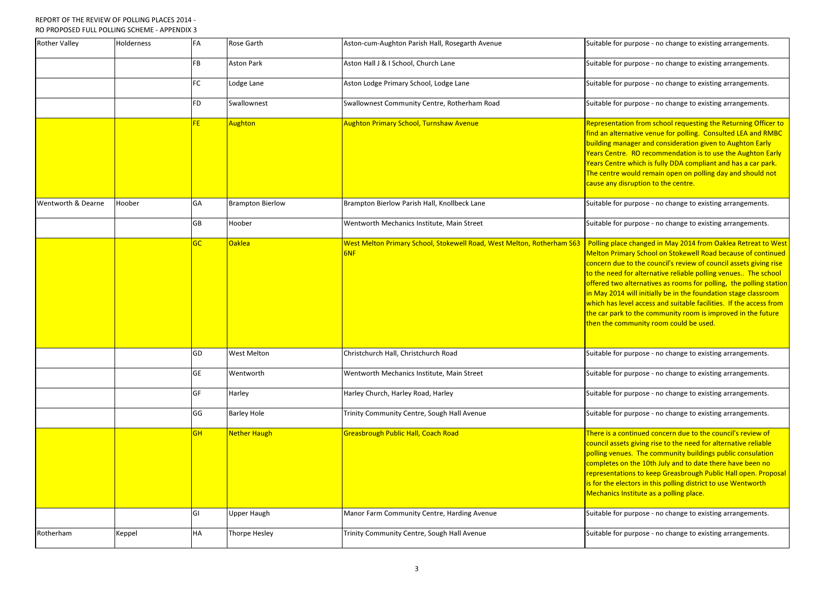## REPORT OF THE REVIEW OF POLLING PLACES 2014 - RO PROPOSED FULL POLLING SCHEME - APPENDIX 3

| <b>Rother Valley</b> | Holderness | FA        | <b>Rose Garth</b>       | Aston-cum-Aughton Parish Hall, Rosegarth Avenue                               | Suitable for pu                                                                                                                                                                    |
|----------------------|------------|-----------|-------------------------|-------------------------------------------------------------------------------|------------------------------------------------------------------------------------------------------------------------------------------------------------------------------------|
|                      |            | <b>FB</b> | <b>Aston Park</b>       | Aston Hall J & I School, Church Lane                                          | Suitable for pu                                                                                                                                                                    |
|                      |            | <b>FC</b> | Lodge Lane              | Aston Lodge Primary School, Lodge Lane                                        | Suitable for pu                                                                                                                                                                    |
|                      |            | <b>FD</b> | Swallownest             | Swallownest Community Centre, Rotherham Road                                  | Suitable for pu                                                                                                                                                                    |
|                      |            | FE.       | Aughton                 | <b>Aughton Primary School, Turnshaw Avenue</b>                                | Representatio<br>find an alterna<br>building mana<br><b>Years Centre.</b><br><b>Years Centre w</b><br>The centre wo<br>cause any disr                                              |
| Wentworth & Dearne   | Hoober     | <b>GA</b> | <b>Brampton Bierlow</b> | Brampton Bierlow Parish Hall, Knollbeck Lane                                  | Suitable for pu                                                                                                                                                                    |
|                      |            | <b>GB</b> | Hoober                  | Wentworth Mechanics Institute, Main Street                                    | Suitable for pu                                                                                                                                                                    |
|                      |            | <b>GC</b> | <b>Oaklea</b>           | West Melton Primary School, Stokewell Road, West Melton, Rotherham S63<br>6NF | Polling place o<br><b>Melton Primar</b><br>concern due to<br>to the need fo<br><b>offered two al</b><br>in May 2014 w<br><b>which has leve</b><br>the car park to<br>then the comn |
|                      |            | GD        | <b>West Melton</b>      | Christchurch Hall, Christchurch Road                                          | Suitable for pu                                                                                                                                                                    |
|                      |            | <b>GE</b> | Wentworth               | Wentworth Mechanics Institute, Main Street                                    | Suitable for pu                                                                                                                                                                    |
|                      |            | <b>GF</b> | Harley                  | Harley Church, Harley Road, Harley                                            | Suitable for pu                                                                                                                                                                    |
|                      |            | GG        | <b>Barley Hole</b>      | Trinity Community Centre, Sough Hall Avenue                                   | Suitable for pu                                                                                                                                                                    |
|                      |            | <b>GH</b> | Nether Haugh            | <b>Greasbrough Public Hall, Coach Road</b>                                    | <mark>There is a cont</mark><br>council assets<br>polling venues<br>completes on<br>representation<br>is for the elect<br><b>Mechanics Ins</b>                                     |
|                      |            | GI        | <b>Upper Haugh</b>      | Manor Farm Community Centre, Harding Avenue                                   | Suitable for pu                                                                                                                                                                    |
| Rotherham            | Keppel     | <b>HA</b> | <b>Thorpe Hesley</b>    | Trinity Community Centre, Sough Hall Avenue                                   | Suitable for pu                                                                                                                                                                    |

Irpose - no change to existing arrangements.

 $\frac{1}{2}$  rpose - no change to existing arrangements.

Intercherange to existing arrangements.

Irpose - no change to existing arrangements.

n from school requesting the Returning Officer to ative venue for polling. Consulted LEA and RMBC ger and consideration given to Aughton Early RO recommendation is to use the Aughton Early vhich is fully DDA compliant and has a car park. uld remain open on polling day and should not uption to the centre.

Intum Bierlow Brampton Bierlow Brampton Bierlow Brangements. Bierlow Bierlow Bierlow Bierlow Bierlow Bierlow B

Integory Mechanics to existing arrangements.

changed in May 2014 from Oaklea Retreat to West y School on Stokewell Road because of continued o the council's review of council assets giving rise r alternative reliable polling venues.. The school ternatives as rooms for polling, the polling station vill initially be in the foundation stage classroom l access and suitable facilities. If the access from  $\overline{\textbf{b}}$  the community room is improved in the future nunity room could be used.

Irpose - no change to existing arrangements.

Intege Age wentworth Mechanics Institutes Inchinents Instituted Suitable for purpose - no change to existing a

Irpose - no change to existing arrangements.

Irpose - no change to existing arrangements.

tinued concern due to the council's review of giving rise to the need for alternative reliable . The community buildings public consulation the 10th July and to date there have been no ns to keep Greasbrough Public Hall open. Proposal ors in this polling district to use Wentworth titute as a polling place.

Irpose - no change to existing arrangements.

I Thorpe Ha Thorpe Hesler Community Community Community Community Community Community Community Community Commu<br>Internal Avenue for purpose - no changements.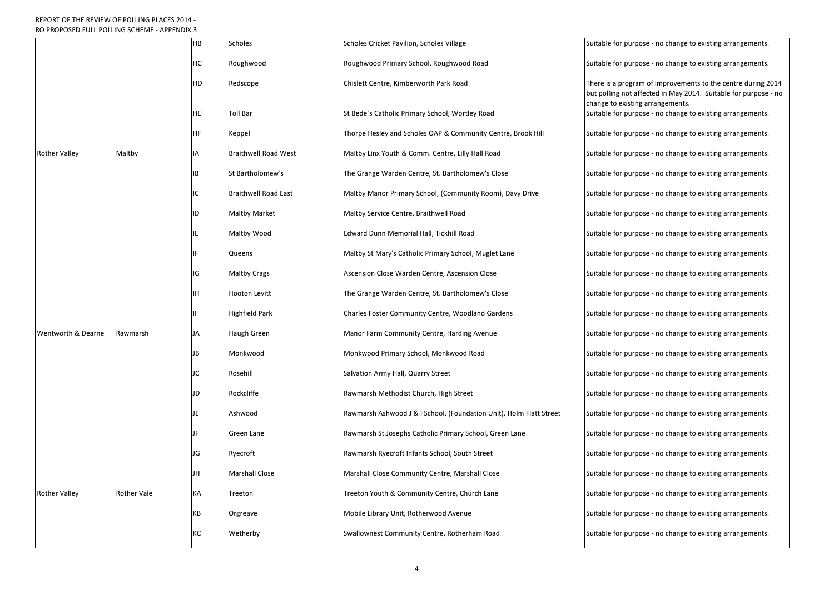|                      |                    | <b>HB</b> | <b>Scholes</b>              | Scholes Cricket Pavilion, Scholes Village                           | Suitable for purpose - no change to existing arrangements                                                                                                   |
|----------------------|--------------------|-----------|-----------------------------|---------------------------------------------------------------------|-------------------------------------------------------------------------------------------------------------------------------------------------------------|
|                      |                    | <b>HC</b> | Roughwood                   | Roughwood Primary School, Roughwood Road                            | Suitable for purpose - no change to existing arrangements.                                                                                                  |
|                      |                    | <b>HD</b> | Redscope                    | Chislett Centre, Kimberworth Park Road                              | There is a program of improvements to the centre during 2<br>but polling not affected in May 2014. Suitable for purpose<br>change to existing arrangements. |
|                      |                    | <b>HE</b> | <b>Toll Bar</b>             | St Bede's Catholic Primary School, Wortley Road                     | Suitable for purpose - no change to existing arrangements.                                                                                                  |
|                      |                    | IHF.      | Keppel                      | Thorpe Hesley and Scholes OAP & Community Centre, Brook Hill        | Suitable for purpose - no change to existing arrangements                                                                                                   |
| <b>Rother Valley</b> | Maltby             | <b>IA</b> | <b>Braithwell Road West</b> | Maltby Linx Youth & Comm. Centre, Lilly Hall Road                   | Suitable for purpose - no change to existing arrangements                                                                                                   |
|                      |                    | IB        | St Bartholomew's            | The Grange Warden Centre, St. Bartholomew's Close                   | Suitable for purpose - no change to existing arrangements                                                                                                   |
|                      |                    | IC        | <b>Braithwell Road East</b> | Maltby Manor Primary School, (Community Room), Davy Drive           | Suitable for purpose - no change to existing arrangements                                                                                                   |
|                      |                    | ID        | <b>Maltby Market</b>        | Maltby Service Centre, Braithwell Road                              | Suitable for purpose - no change to existing arrangements                                                                                                   |
|                      |                    | IE.       | Maltby Wood                 | Edward Dunn Memorial Hall, Tickhill Road                            | Suitable for purpose - no change to existing arrangements.                                                                                                  |
|                      |                    |           | Queens                      | Maltby St Mary's Catholic Primary School, Muglet Lane               | Suitable for purpose - no change to existing arrangements                                                                                                   |
|                      |                    | IG        | <b>Maltby Crags</b>         | Ascension Close Warden Centre, Ascension Close                      | Suitable for purpose - no change to existing arrangements                                                                                                   |
|                      |                    | <b>IH</b> | <b>Hooton Levitt</b>        | The Grange Warden Centre, St. Bartholomew's Close                   | Suitable for purpose - no change to existing arrangements                                                                                                   |
|                      |                    |           | <b>Highfield Park</b>       | Charles Foster Community Centre, Woodland Gardens                   | Suitable for purpose - no change to existing arrangements                                                                                                   |
| Wentworth & Dearne   | Rawmarsh           | JA        | Haugh Green                 | Manor Farm Community Centre, Harding Avenue                         | Suitable for purpose - no change to existing arrangements                                                                                                   |
|                      |                    | JB        | Monkwood                    | Monkwood Primary School, Monkwood Road                              | Suitable for purpose - no change to existing arrangements.                                                                                                  |
|                      |                    | JC        | Rosehill                    | Salvation Army Hall, Quarry Street                                  | Suitable for purpose - no change to existing arrangements                                                                                                   |
|                      |                    | <b>JD</b> | Rockcliffe                  | Rawmarsh Methodist Church, High Street                              | Suitable for purpose - no change to existing arrangements                                                                                                   |
|                      |                    | JE.       | Ashwood                     | Rawmarsh Ashwood J & I School, (Foundation Unit), Holm Flatt Street | Suitable for purpose - no change to existing arrangements.                                                                                                  |
|                      |                    | JF.       | <b>Green Lane</b>           | Rawmarsh St.Josephs Catholic Primary School, Green Lane             | Suitable for purpose - no change to existing arrangements.                                                                                                  |
|                      |                    | JG        | Ryecroft                    | Rawmarsh Ryecroft Infants School, South Street                      | Suitable for purpose - no change to existing arrangements                                                                                                   |
|                      |                    | JH        | <b>Marshall Close</b>       | Marshall Close Community Centre, Marshall Close                     | Suitable for purpose - no change to existing arrangements                                                                                                   |
| <b>Rother Valley</b> | <b>Rother Vale</b> | KA        | Treeton                     | Treeton Youth & Community Centre, Church Lane                       | Suitable for purpose - no change to existing arrangements                                                                                                   |
|                      |                    | KB        | Orgreave                    | Mobile Library Unit, Rotherwood Avenue                              | Suitable for purpose - no change to existing arrangements                                                                                                   |
|                      |                    | KC        | Wetherby                    | Swallownest Community Centre, Rotherham Road                        | Suitable for purpose - no change to existing arrangements                                                                                                   |
|                      |                    |           |                             |                                                                     |                                                                                                                                                             |

gram of improvements to the centre during 2014 but polling not affected in May 2014. Suitable for purpose - no ting arrangements.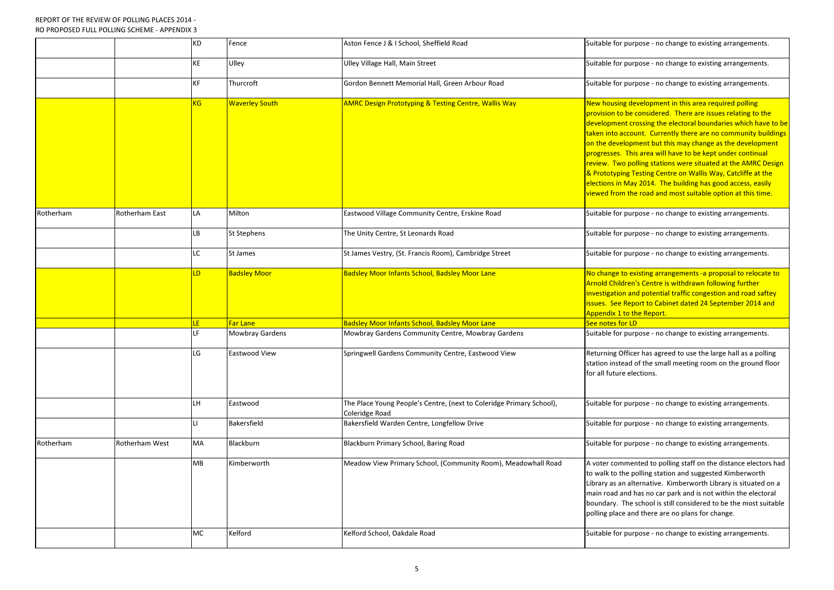|           |                       | KD        | Fence                  | Aston Fence J & I School, Sheffield Road                                               | Suitable for purpose - no change to existing arrangements.                                                                                                                                                                                                                                                                                                                                                                                                                                                                                                                                                                   |
|-----------|-----------------------|-----------|------------------------|----------------------------------------------------------------------------------------|------------------------------------------------------------------------------------------------------------------------------------------------------------------------------------------------------------------------------------------------------------------------------------------------------------------------------------------------------------------------------------------------------------------------------------------------------------------------------------------------------------------------------------------------------------------------------------------------------------------------------|
|           |                       | <b>KE</b> | Ulley                  | Ulley Village Hall, Main Street                                                        | Suitable for purpose - no change to existing arrangements                                                                                                                                                                                                                                                                                                                                                                                                                                                                                                                                                                    |
|           |                       | КF        | Thurcroft              | Gordon Bennett Memorial Hall, Green Arbour Road                                        | Suitable for purpose - no change to existing arrangements.                                                                                                                                                                                                                                                                                                                                                                                                                                                                                                                                                                   |
|           |                       | KG.       | <b>Waverley South</b>  | <b>AMRC Design Prototyping &amp; Testing Centre, Wallis Way</b>                        | New housing development in this area required polling<br>provision to be considered. There are issues relating to the<br>development crossing the electoral boundaries which have<br>taken into account. Currently there are no community bui<br>on the development but this may change as the developm<br>progresses. This area will have to be kept under continual<br>review. Two polling stations were situated at the AMRC D<br>& Prototyping Testing Centre on Wallis Way, Catcliffe at th<br>elections in May 2014. The building has good access, easil<br>viewed from the road and most suitable option at this time |
| Rotherham | Rotherham East        | LA        | Milton                 | Eastwood Village Community Centre, Erskine Road                                        | Suitable for purpose - no change to existing arrangements                                                                                                                                                                                                                                                                                                                                                                                                                                                                                                                                                                    |
|           |                       | LВ        | <b>St Stephens</b>     | The Unity Centre, St Leonards Road                                                     | Suitable for purpose - no change to existing arrangements                                                                                                                                                                                                                                                                                                                                                                                                                                                                                                                                                                    |
|           |                       | LC        | <b>St James</b>        | St James Vestry, (St. Francis Room), Cambridge Street                                  | Suitable for purpose - no change to existing arrangements                                                                                                                                                                                                                                                                                                                                                                                                                                                                                                                                                                    |
|           |                       | LD        | <b>Badsley Moor</b>    | <b>Badsley Moor Infants School, Badsley Moor Lane</b>                                  | No change to existing arrangements -a proposal to relocat<br>Arnold Children's Centre is withdrawn following further<br>investigation and potential traffic congestion and road saft<br>issues. See Report to Cabinet dated 24 September 2014 ar<br><b>Appendix 1 to the Report.</b>                                                                                                                                                                                                                                                                                                                                         |
|           |                       | LE.       | Far Lane               | <b>Badsley Moor Infants School, Badsley Moor Lane</b>                                  | See notes for LD                                                                                                                                                                                                                                                                                                                                                                                                                                                                                                                                                                                                             |
|           |                       | LF        | <b>Mowbray Gardens</b> | Mowbray Gardens Community Centre, Mowbray Gardens                                      | Suitable for purpose - no change to existing arrangements.                                                                                                                                                                                                                                                                                                                                                                                                                                                                                                                                                                   |
|           |                       | LG        | Eastwood View          | Springwell Gardens Community Centre, Eastwood View                                     | Returning Officer has agreed to use the large hall as a polli<br>station instead of the small meeting room on the ground f<br>for all future elections.                                                                                                                                                                                                                                                                                                                                                                                                                                                                      |
|           |                       | LH        | Eastwood               | The Place Young People's Centre, (next to Coleridge Primary School),<br>Coleridge Road | Suitable for purpose - no change to existing arrangements                                                                                                                                                                                                                                                                                                                                                                                                                                                                                                                                                                    |
|           |                       |           | <b>Bakersfield</b>     | Bakersfield Warden Centre, Longfellow Drive                                            | Suitable for purpose - no change to existing arrangements                                                                                                                                                                                                                                                                                                                                                                                                                                                                                                                                                                    |
| Rotherham | <b>Rotherham West</b> | MA        | Blackburn              | Blackburn Primary School, Baring Road                                                  | Suitable for purpose - no change to existing arrangements.                                                                                                                                                                                                                                                                                                                                                                                                                                                                                                                                                                   |
|           |                       | MB        | Kimberworth            | Meadow View Primary School, (Community Room), Meadowhall Road                          | A voter commented to polling staff on the distance elector<br>to walk to the polling station and suggested Kimberworth<br>Library as an alternative. Kimberworth Library is situated<br>main road and has no car park and is not within the electo<br>boundary. The school is still considered to be the most sui<br>polling place and there are no plans for change.                                                                                                                                                                                                                                                        |
|           |                       | MC        | Kelford                | Kelford School, Oakdale Road                                                           | Suitable for purpose - no change to existing arrangements                                                                                                                                                                                                                                                                                                                                                                                                                                                                                                                                                                    |

I Fence Bence Aston Fence Suppose - no change is a suitable for an arrangements.

development in this area required polling development in this area required polling e considered. There are issues relating to the crossing the electoral boundaries which have to be ount. Currently there are no community buildings oment but this may change as the development his area will have to be kept under continual oolling stations were situated at the AMRC Design Testing Centre on Wallis Way, Catcliffe at the ay 2014. The building has good access, easily he road and most suitable option at this time.

existing arrangements -a proposal to relocate to In's Centre is withdrawn following further and potential traffic congestion and road saftey port to Cabinet dated 24 September 2014 and the Report.

cer has agreed to use the large hall as a polling d of the small meeting room on the ground floor elections.

ented to polling staff on the distance electors had polling station and suggested Kimberworth Ilternative. Kimberworth Library is situated on a I has no car park and is not within the electoral e school is still considered to be the most suitable and there are no plans for change.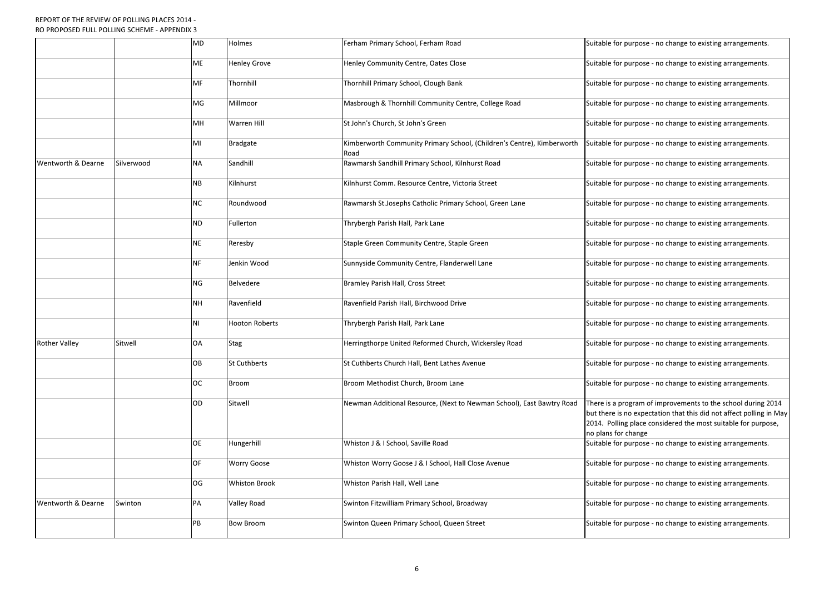|                      |            | <b>MD</b> | Holmes                | Ferham Primary School, Ferham Road                                             | Suitable for purpose - no change to existing arrangements.                                                                                                                                                                  |
|----------------------|------------|-----------|-----------------------|--------------------------------------------------------------------------------|-----------------------------------------------------------------------------------------------------------------------------------------------------------------------------------------------------------------------------|
|                      |            | <b>ME</b> | <b>Henley Grove</b>   | Henley Community Centre, Oates Close                                           | Suitable for purpose - no change to existing arrangements.                                                                                                                                                                  |
|                      |            | MF        | Thornhill             | Thornhill Primary School, Clough Bank                                          | Suitable for purpose - no change to existing arrangements.                                                                                                                                                                  |
|                      |            | MG        | Millmoor              | Masbrough & Thornhill Community Centre, College Road                           | Suitable for purpose - no change to existing arrangements.                                                                                                                                                                  |
|                      |            | MH        | <b>Warren Hill</b>    | St John's Church, St John's Green                                              | Suitable for purpose - no change to existing arrangements.                                                                                                                                                                  |
|                      |            | MI        | <b>Bradgate</b>       | Kimberworth Community Primary School, (Children's Centre), Kimberworth<br>Road | Suitable for purpose - no change to existing arrangements.                                                                                                                                                                  |
| Wentworth & Dearne   | Silverwood | <b>NA</b> | Sandhill              | Rawmarsh Sandhill Primary School, Kilnhurst Road                               | Suitable for purpose - no change to existing arrangements.                                                                                                                                                                  |
|                      |            | <b>NB</b> | Kilnhurst             | Kilnhurst Comm. Resource Centre, Victoria Street                               | Suitable for purpose - no change to existing arrangements.                                                                                                                                                                  |
|                      |            | <b>NC</b> | Roundwood             | Rawmarsh St.Josephs Catholic Primary School, Green Lane                        | Suitable for purpose - no change to existing arrangements.                                                                                                                                                                  |
|                      |            | <b>ND</b> | Fullerton             | Thrybergh Parish Hall, Park Lane                                               | Suitable for purpose - no change to existing arrangements.                                                                                                                                                                  |
|                      |            | <b>NE</b> | Reresby               | Staple Green Community Centre, Staple Green                                    | Suitable for purpose - no change to existing arrangements.                                                                                                                                                                  |
|                      |            | <b>NF</b> | Jenkin Wood           | Sunnyside Community Centre, Flanderwell Lane                                   | Suitable for purpose - no change to existing arrangements.                                                                                                                                                                  |
|                      |            | <b>NG</b> | Belvedere             | <b>Bramley Parish Hall, Cross Street</b>                                       | Suitable for purpose - no change to existing arrangements.                                                                                                                                                                  |
|                      |            | <b>NH</b> | Ravenfield            | Ravenfield Parish Hall, Birchwood Drive                                        | Suitable for purpose - no change to existing arrangements.                                                                                                                                                                  |
|                      |            | <b>NI</b> | <b>Hooton Roberts</b> | Thrybergh Parish Hall, Park Lane                                               | Suitable for purpose - no change to existing arrangements.                                                                                                                                                                  |
| <b>Rother Valley</b> | Sitwell    | <b>OA</b> | <b>Stag</b>           | Herringthorpe United Reformed Church, Wickersley Road                          | Suitable for purpose - no change to existing arrangements.                                                                                                                                                                  |
|                      |            | OB        | <b>St Cuthberts</b>   | St Cuthberts Church Hall, Bent Lathes Avenue                                   | Suitable for purpose - no change to existing arrangements.                                                                                                                                                                  |
|                      |            | <b>OC</b> | <b>Broom</b>          | Broom Methodist Church, Broom Lane                                             | Suitable for purpose - no change to existing arrangements.                                                                                                                                                                  |
|                      |            | OD        | Sitwell               | Newman Additional Resource, (Next to Newman School), East Bawtry Road          | There is a program of improvements to the school during 2014<br>but there is no expectation that this did not affect polling in May<br>2014. Polling place considered the most suitable for purpose,<br>no plans for change |
|                      |            | <b>OE</b> | Hungerhill            | Whiston J & I School, Saville Road                                             | Suitable for purpose - no change to existing arrangements.                                                                                                                                                                  |
|                      |            | OF        | <b>Worry Goose</b>    | Whiston Worry Goose J & I School, Hall Close Avenue                            | Suitable for purpose - no change to existing arrangements.                                                                                                                                                                  |
|                      |            | OG        | <b>Whiston Brook</b>  | Whiston Parish Hall, Well Lane                                                 | Suitable for purpose - no change to existing arrangements.                                                                                                                                                                  |
| Wentworth & Dearne   | Swinton    | PA        | <b>Valley Road</b>    | Swinton Fitzwilliam Primary School, Broadway                                   | Suitable for purpose - no change to existing arrangements.                                                                                                                                                                  |
|                      |            | PB        | <b>Bow Broom</b>      | Swinton Queen Primary School, Queen Street                                     | Suitable for purpose - no change to existing arrangements.                                                                                                                                                                  |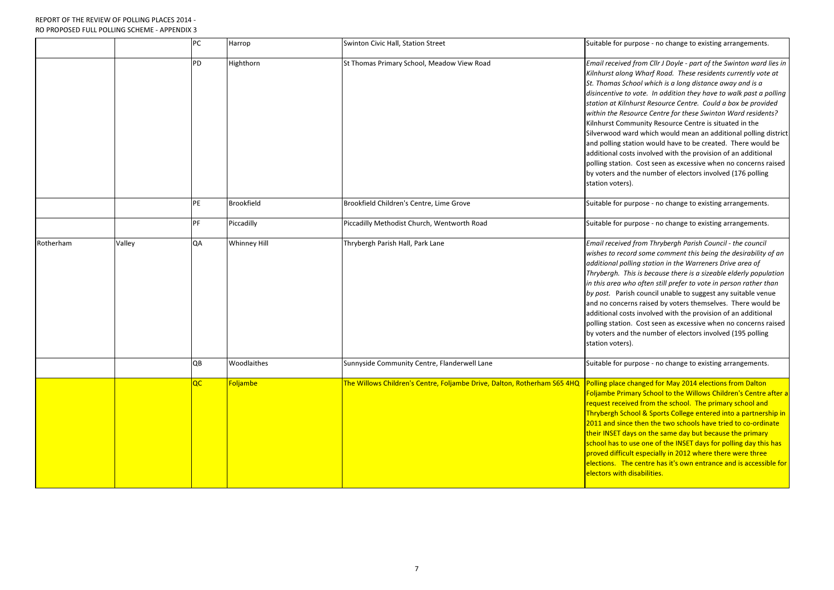|           |        | PC | Harrop              | Swinton Civic Hall, Station Street                                       | Suitable for pu                                                                                                                                                                                                                                           |
|-----------|--------|----|---------------------|--------------------------------------------------------------------------|-----------------------------------------------------------------------------------------------------------------------------------------------------------------------------------------------------------------------------------------------------------|
|           |        | PD | Highthorn           | St Thomas Primary School, Meadow View Road                               | <b>Email received</b><br>Kilnhurst along<br>St. Thomas Sch<br>disincentive to<br>station at Kilnh<br>within the Resc<br>Kilnhurst Comr<br>Silverwood wa<br>and polling stat<br>additional cost<br>polling station.<br>by voters and t<br>station voters). |
|           |        | PE | <b>Brookfield</b>   | Brookfield Children's Centre, Lime Grove                                 | Suitable for pu                                                                                                                                                                                                                                           |
|           |        | PF | Piccadilly          | Piccadilly Methodist Church, Wentworth Road                              | Suitable for pu                                                                                                                                                                                                                                           |
| Rotherham | Valley | QA | <b>Whinney Hill</b> | Thrybergh Parish Hall, Park Lane                                         | Email received<br>wishes to recor<br>additional polli<br>Thrybergh. Thi<br>in this area wh<br>by post. Parish<br>and no concerr<br>additional cost<br>polling station.<br>by voters and t<br>station voters).                                             |
|           |        | QB | Woodlaithes         | Sunnyside Community Centre, Flanderwell Lane                             | Suitable for pu                                                                                                                                                                                                                                           |
|           |        | QC | Foljambe            | The Willows Children's Centre, Foljambe Drive, Dalton, Rotherham S65 4HQ | <b>Polling place ch</b><br><b>Foljambe Prim</b> a<br>request receive<br><mark>Thrybergh Scho</mark><br>2011 and since<br>their INSET day<br>school has to u<br>proved difficult<br>elections. The<br>electors with d                                      |

Irpose - no change to existing arrangements.

I from Cllr J Doyle - part of the Swinton ward lies in g Wharf Road. These residents currently vote at hool which is a long distance away and is a vote. In addition they have to walk past a polling hurst Resource Centre. Could a box be provided ource Centre for these Swinton Ward residents? munity Resource Centre is situated in the ard which would mean an additional polling district ation would have to be created. There would be ts involved with the provision of an additional Cost seen as excessive when no concerns raised the number of electors involved (176 polling

Irpose - no change to existing arrangements.

Irpose - no change to existing arrangements.

**I** from Thrybergh Parish Council - the council rd some comment this being the desirability of an ling station in the Warreners Drive area of is is because there is a sizeable elderly population io often still prefer to vote in person rather than h council unable to suggest any suitable venue ns raised by voters themselves. There would be ts involved with the provision of an additional Cost seen as excessive when no concerns raised the number of electors involved (195 polling

athor Suppose Suppose community Community Community Community Community Community Community Community Communit

hanged for May 2014 elections from Dalton ary School to the Willows Children's Centre after a ed from the school. The primary school and ool & Sports College entered into a partnership in e then the two schools have tried to co-ordinate ys on the same day but because the primary use one of the INSET days for polling day this has It especially in 2012 where there were three  $e$  centre has it's own entrance and is accessible for lisabilities.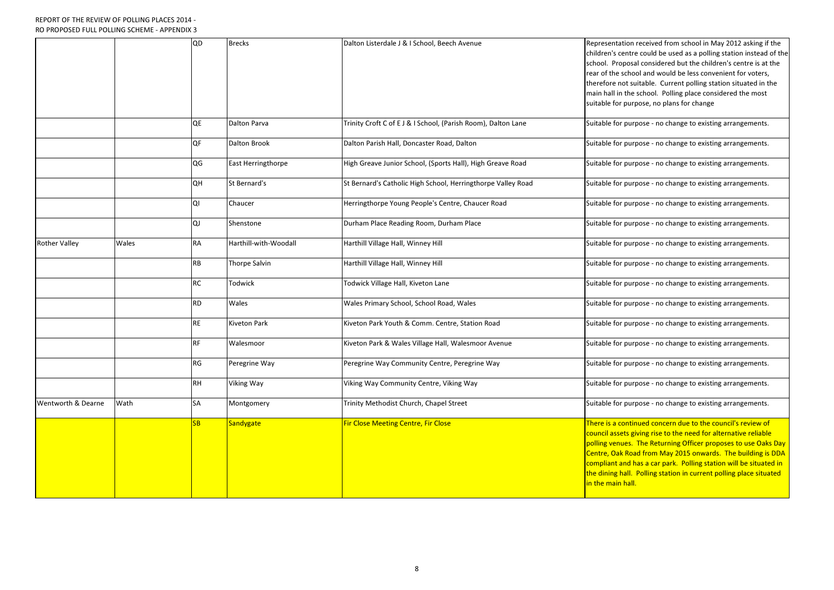|                      |       | QD        | <b>Brecks</b>             | Dalton Listerdale J & I School, Beech Avenue                  | Representation<br>children's centre<br>school. Proposa<br>rear of the scho<br>therefore not su<br>main hall in the<br>suitable for pur  |
|----------------------|-------|-----------|---------------------------|---------------------------------------------------------------|-----------------------------------------------------------------------------------------------------------------------------------------|
|                      |       | QE        | <b>Dalton Parva</b>       | Trinity Croft C of E J & I School, (Parish Room), Dalton Lane | Suitable for pur                                                                                                                        |
|                      |       | QF        | <b>Dalton Brook</b>       | Dalton Parish Hall, Doncaster Road, Dalton                    | Suitable for pur                                                                                                                        |
|                      |       | QG        | <b>East Herringthorpe</b> | High Greave Junior School, (Sports Hall), High Greave Road    | Suitable for pur                                                                                                                        |
|                      |       | <b>QH</b> | St Bernard's              | St Bernard's Catholic High School, Herringthorpe Valley Road  | Suitable for pur                                                                                                                        |
|                      |       | QI        | Chaucer                   | Herringthorpe Young People's Centre, Chaucer Road             | Suitable for pur                                                                                                                        |
|                      |       | QJ        | Shenstone                 | Durham Place Reading Room, Durham Place                       | Suitable for pur                                                                                                                        |
| <b>Rother Valley</b> | Wales | <b>RA</b> | Harthill-with-Woodall     | Harthill Village Hall, Winney Hill                            | Suitable for pur                                                                                                                        |
|                      |       | <b>RB</b> | <b>Thorpe Salvin</b>      | Harthill Village Hall, Winney Hill                            | Suitable for pur                                                                                                                        |
|                      |       | <b>RC</b> | <b>Todwick</b>            | Todwick Village Hall, Kiveton Lane                            | Suitable for pur                                                                                                                        |
|                      |       | <b>RD</b> | Wales                     | Wales Primary School, School Road, Wales                      | Suitable for pur                                                                                                                        |
|                      |       | <b>RE</b> | <b>Kiveton Park</b>       | Kiveton Park Youth & Comm. Centre, Station Road               | Suitable for pur                                                                                                                        |
|                      |       | <b>RF</b> | Walesmoor                 | Kiveton Park & Wales Village Hall, Walesmoor Avenue           | Suitable for pur                                                                                                                        |
|                      |       | <b>RG</b> | Peregrine Way             | Peregrine Way Community Centre, Peregrine Way                 | Suitable for pur                                                                                                                        |
|                      |       | <b>RH</b> | <b>Viking Way</b>         | Viking Way Community Centre, Viking Way                       | Suitable for pur                                                                                                                        |
| Wentworth & Dearne   | Wath  | <b>SA</b> | Montgomery                | Trinity Methodist Church, Chapel Street                       | Suitable for pur                                                                                                                        |
|                      |       | SB        | <b>Sandygate</b>          | <b>Fir Close Meeting Centre, Fir Close</b>                    | There is a contir<br>council assets gi<br>polling venues.<br>Centre, Oak Roa<br>compliant and h<br>the dining hall.<br>in the main hall |

n received from school in May 2012 asking if the tre could be used as a polling station instead of the sal considered but the children's centre is at the rool and would be less convenient for voters, suitable. Current polling station situated in the e school. Polling place considered the most irpose, no plans for change

arpose - no change to existing arrangements.

arpose - no change to existing arrangements.

arpose - no change to existing arrangements.

arpose - no change to existing arrangements.

appose - no change to existing arrangements.

aggore Burham Place to existing arrangements.

Irpose - no change to existing arrangements.

irpose - no change to existing arrangements.

Irpose - no change to existing arrangements.

I wales Primary School Road, School Road, Suppose - no change to existing arrangements.

If are Kiveton Parag Anara Comments Arenteer in Comments Forman Suitable for purpose - no change to existing a

If was arequile or Anges village to existing arrangements.

Irpose - no change to existing arrangements.

Irpose - no change to existing arrangements.

Irpose - no change to existing arrangements.

tinued concern due to the council's review of giving rise to the need for alternative reliable The Returning Officer proposes to use Oaks Day ad from May 2015 onwards. The building is DDA has a car park. Polling station will be situated in Polling station in current polling place situated